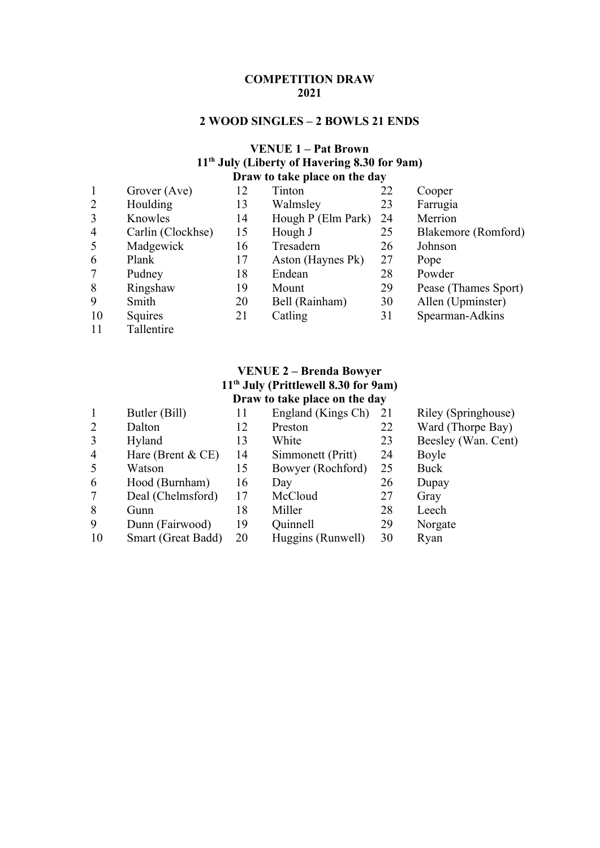#### **COMPETITION DRAW**

## **2 WOOD SINGLES – 2 BOWLS 21 ENDS**

### **VENUE 1 – Pat Brown th July (Liberty of Havering 8.30 for 9am) Draw to take place on the day**

| $\mathbf{1}$   | Grover (Ave)      | 12 | Tinton             | 22 | Cooper               |
|----------------|-------------------|----|--------------------|----|----------------------|
| $\overline{2}$ | Houlding          | 13 | Walmsley           | 23 | Farrugia             |
| 3              | Knowles           | 14 | Hough P (Elm Park) | 24 | Merrion              |
| $\overline{4}$ | Carlin (Clockhse) | 15 | Hough J            | 25 | Blakemore (Romford)  |
| 5              | Madgewick         | 16 | Tresadern          | 26 | Johnson              |
| 6              | Plank             | 17 | Aston (Haynes Pk)  | 27 | Pope                 |
| $\overline{7}$ | Pudney            | 18 | Endean             | 28 | Powder               |
| 8              | Ringshaw          | 19 | Mount              | 29 | Pease (Thames Sport) |
| 9              | Smith             | 20 | Bell (Rainham)     | 30 | Allen (Upminster)    |
| 10             | Squires           | 21 | Catling            | 31 | Spearman-Adkins      |
| 11             | Tallentire        |    |                    |    |                      |

## **VENUE 2 – Brenda Bowyer th July (Prittlewell 8.30 for 9am) Draw to take place on the day**

|                | Butler (Bill)        | 11 | England (Kings Ch) | 21 | Riley (Springhouse) |
|----------------|----------------------|----|--------------------|----|---------------------|
| 2              | Dalton               | 12 | Preston            | 22 | Ward (Thorpe Bay)   |
| 3              | Hyland               | 13 | White              | 23 | Beesley (Wan. Cent) |
| $\overline{4}$ | Hare (Brent $& CE$ ) | 14 | Simmonett (Pritt)  | 24 | Boyle               |
| 5              | Watson               | 15 | Bowyer (Rochford)  | 25 | Buck                |
| 6              | Hood (Burnham)       | 16 | Day                | 26 | Dupay               |
| $\tau$         | Deal (Chelmsford)    | 17 | McCloud            | 27 | Gray                |
| 8              | Gunn                 | 18 | Miller             | 28 | Leech               |
| 9              | Dunn (Fairwood)      | 19 | Quinnell           | 29 | Norgate             |
| 10             | Smart (Great Badd)   | 20 | Huggins (Runwell)  | 30 | Ryan                |